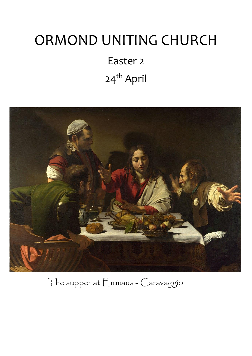# ORMOND UNITING CHURCH

Easter 2 24<sup>th</sup> April



The supper at Emmaus - Caravaggio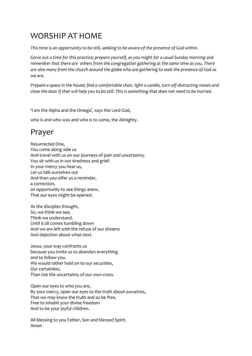### WORSHIP AT HOME

*This time is an opportunity to be still, seeking to be aware of the presence of God within.*

*Carve out a time for this practice; prepare yourself, as you might for a usual Sunday morning and remember that there are others from the congregation gathering at the same time as you. There are also many from the church around the globe who are gathering to seek the presence of God as we are.*

*Prepare a space in the house; find a comfortable chair, light a candle, turn off distracting noises and close the door if that will help you to be still. This is something that does not need to be hurried.*

'I am the Alpha and the Omega', says the Lord God,

who is and who was and who is to come, the Almighty.

### Prayer

Resurrected One, You come along side us And travel with us on our journeys of pain and uncertainty. You sit with us in our tiredness and grief. In your mercy you hear us, Let us talk ourselves out And then you offer us a reminder, a correction, an opportunity to see things anew, That our eyes might be opened.

As the disciples thought, So, we think we see, Think we understand. Until it all comes tumbling down And we are left with the refuse of our dreams And dejection about what next.

Jesus, your way confronts us because you invite us to abandon everything and to follow you. We would rather hold on to our securities, Our certainties, Than risk the uncertainty of our own cross.

Open our eyes to who you are, By your mercy, open our eyes to the truth about ourselves, That we may know the truth and so be free, Free to inhabit your divine freedom And to be your joyful children.

All blessing to you Father, Son and blessed Spirit. Amen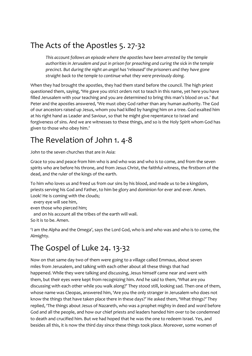### The Acts of the Apostles 5. 27-32

*This account follows an episode where the apostles have been arrested by the temple authorities in Jerusalem and put in prison for preaching and curing the sick in the temple precinct. But during the night an angel has 'released' the prisoners and they have gone straight back to the temple to continue what they were previously doing.*

When they had brought the apostles, they had them stand before the council. The high priest questioned them, saying, 'We gave you strict orders not to teach in this name, yet here you have filled Jerusalem with your teaching and you are determined to bring this man's blood on us.' But Peter and the apostles answered, 'We must obey God rather than any human authority. The God of our ancestors raised up Jesus, whom you had killed by hanging him on a tree. God exalted him at his right hand as Leader and Saviour, so that he might give repentance to Israel and forgiveness of sins. And we are witnesses to these things, and so is the Holy Spirit whom God has given to those who obey him.'

### The Revelation of John 1. 4-8

John to the seven churches that are in Asia:

Grace to you and peace from him who is and who was and who is to come, and from the seven spirits who are before his throne, and from Jesus Christ, the faithful witness, the firstborn of the dead, and the ruler of the kings of the earth.

To him who loves us and freed us from our sins by his blood, and made us to be a kingdom, priests serving his God and Father, to him be glory and dominion for ever and ever. Amen. Look! He is coming with the clouds;

every eye will see him,

even those who pierced him;

and on his account all the tribes of the earth will wail.

So it is to be. Amen.

'I am the Alpha and the Omega', says the Lord God, who is and who was and who is to come, the Almighty.

### The Gospel of Luke 24. 13-32

Now on that same day two of them were going to a village called Emmaus, about seven miles from Jerusalem, and talking with each other about all these things that had happened. While they were talking and discussing, Jesus himself came near and went with them, but their eyes were kept from recognizing him. And he said to them, 'What are you discussing with each other while you walk along?' They stood still, looking sad. Then one of them, whose name was Cleopas, answered him, 'Are you the only stranger in Jerusalem who does not know the things that have taken place there in these days?' He asked them, 'What things?' They replied, 'The things about Jesus of Nazareth, who was a prophet mighty in deed and word before God and all the people, and how our chief priests and leaders handed him over to be condemned to death and crucified him. But we had hoped that he was the one to redeem Israel. Yes, and besides all this, it is now the third day since these things took place. Moreover, some women of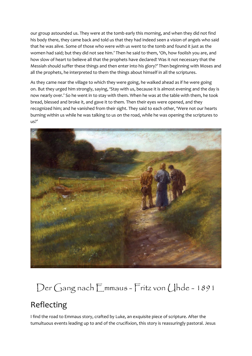our group astounded us. They were at the tomb early this morning, and when they did not find his body there, they came back and told us that they had indeed seen a vision of angels who said that he was alive. Some of those who were with us went to the tomb and found it just as the women had said; but they did not see him.' Then he said to them, 'Oh, how foolish you are, and how slow of heart to believe all that the prophets have declared! Was it not necessary that the Messiah should suffer these things and then enter into his glory?' Then beginning with Moses and all the prophets, he interpreted to them the things about himself in all the scriptures.

As they came near the village to which they were going, he walked ahead as if he were going on. But they urged him strongly, saying, 'Stay with us, because it is almost evening and the day is now nearly over.' So he went in to stay with them. When he was at the table with them, he took bread, blessed and broke it, and gave it to them. Then their eyes were opened, and they recognized him; and he vanished from their sight. They said to each other, 'Were not our hearts burning within us while he was talking to us on the road, while he was opening the scriptures to us?'



## Der Gang nach Emmaus - Fritz von Uhde - 1891

### Reflecting

I find the road to Emmaus story, crafted by Luke, an exquisite piece of scripture. After the tumultuous events leading up to and of the crucifixion, this story is reassuringly pastoral. Jesus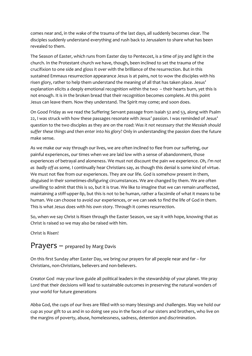comes near and, in the wake of the trauma of the last days, all suddenly becomes clear. The disciples suddenly understand everything and rush back to Jerusalem to share what has been revealed to them.

The Season of Easter, which runs from Easter day to Pentecost, is a time of joy and light in the church. In the Protestant church we have, though, been inclined to set the trauma of the crucifixion to one side and gloss it over with the brilliance of the resurrection. But in this sustained Emmaus resurrection appearance Jesus is at pains, not to wow the disciples with his risen glory, rather to help them understand the meaning of all that has taken place. Jesus' explanation elicits a deeply emotional recognition within the two – their hearts burn, yet this is not enough. It is in the broken bread that their recognition becomes complete. At this point Jesus can leave them. Now they understand. The Spirit may come; and soon does.

On Good Friday as we read the Suffering Servant passage from Isaiah 52 and 53, along with Psalm 22, I was struck with how these passages resonate with Jesus' passion. I was reminded of Jesus' question to the two disciples as they are on the road: *Was it not necessary that the Messiah should suffer these things and then enter into his glory?* Only in understanding the passion does the future make sense.

As we make our way through our lives, we are often inclined to flee from our suffering, our painful experiences, our times when we are laid low with a sense of abandonment, those experiences of betrayal and aloneness. We must not discount the pain we experience. *Oh, I'm not as badly off as some,* I continually hear Christians say, as though this denial is some kind of virtue. We must not flee from our experiences. They are our life. God is somehow present in them, disguised in their sometimes-disfiguring circumstances. We are changed by them. We are often unwilling to admit that this is so, but it is true. We like to imagine that we can remain unaffected, maintaining a stiff-upper-lip, but this is not to be human, rather a facsimile of what it means to be human. We can choose to avoid our experiences, or we can seek to find the life of God in them. This is what Jesus does with his own story. Through it comes resurrection.

So, when we say Christ is Risen through the Easter Season, we say it with hope, knowing that as Christ is raised so we may also be raised with him.

Christ is Risen!

### Prayers - prepared by Marg Davis

On this first Sunday after Easter Day, we bring our prayers for all people near and far – for Christians, non-Christians, believers and non-believers.

Creator God may your love guide all political leaders in the stewardship of your planet. We pray Lord that their decisions will lead to sustainable outcomes in preserving the natural wonders of your world for future generations

Abba God, the cups of our lives are filled with so many blessings and challenges. May we hold our cup as your gift to us and in so doing see you in the faces of our sisters and brothers, who live on the margins of poverty, abuse, homelessness, sadness, detention and discrimination.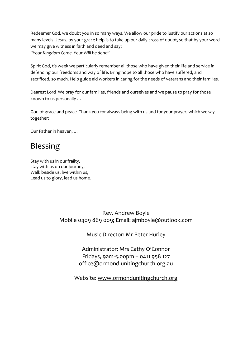Redeemer God, we doubt you in so many ways. We allow our pride to justify our actions at so many levels. Jesus, by your grace help is to take up our daily cross of doubt, so that by your word we may give witness in faith and deed and say: *"Your Kingdom Come. Your Will be done"*

Spirit God, tis week we particularly remember all those who have given their life and service in defending our freedoms and way of life. Bring hope to all those who have suffered, and sacrificed, so much. Help guide aid workers in caring for the needs of veterans and their families.

Dearest Lord We pray for our families, friends and ourselves and we pause to pray for those known to us personally …

God of grace and peace Thank you for always being with us and for your prayer, which we say together:

Our Father in heaven, *…*

### Blessing

Stay with us in our frailty, stay with us on our journey, Walk beside us, live within us, Lead us to glory, lead us home.

> Rev. Andrew Boyle Mobile 0409 869 009; Email: [ajmboyle@outlook.com](mailto:ajmboyle@outlook.com)

> > Music Director: Mr Peter Hurley

Administrator: Mrs Cathy O'Connor Fridays, 9am-5.00pm – 0411 958 127 [office@ormond.unitingchurch.org.au](mailto:office@ormond.unitingchurch.org.au)

Website: [www.ormondunitingchurch.org](http://www.ormondunitingchurch.org/)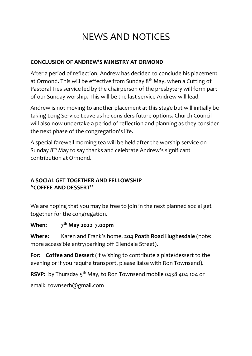### NEWS AND NOTICES

#### **CONCLUSION OF ANDREW'S MINISTRY AT ORMOND**

After a period of reflection, Andrew has decided to conclude his placement at Ormond. This will be effective from Sunday  $8<sup>th</sup>$  May, when a Cutting of Pastoral Ties service led by the chairperson of the presbytery will form part of our Sunday worship. This will be the last service Andrew will lead.

Andrew is not moving to another placement at this stage but will initially be taking Long Service Leave as he considers future options. Church Council will also now undertake a period of reflection and planning as they consider the next phase of the congregation's life.

A special farewell morning tea will be held after the worship service on Sunday 8th May to say thanks and celebrate Andrew's significant contribution at Ormond.

#### **A SOCIAL GET TOGETHER AND FELLOWSHIP "COFFEE AND DESSERT"**

We are hoping that you may be free to join in the next planned social get together for the congregation.

#### **When: 7 th May 2022 7.00pm**

**Where:** Karen and Frank's home, **204 Poath Road Hughesdale** (note: more accessible entry/parking off Ellendale Street).

**For: Coffee and Dessert** (if wishing to contribute a plate/dessert to the evening or if you require transport, please liaise with Ron Townsend).

**RSVP:** by Thursday 5<sup>th</sup> May, to Ron Townsend mobile 0438 404 104 or

email: townserh@gmail.com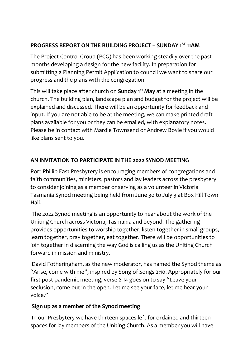#### **PROGRESS REPORT ON THE BUILDING PROJECT – SUNDAY 1ST 11AM**

The Project Control Group (PCG) has been working steadily over the past months developing a design for the new facility. In preparation for submitting a Planning Permit Application to council we want to share our progress and the plans with the congregation.

This will take place after church on **Sunday 1 st May** at a meeting in the church. The building plan, landscape plan and budget for the project will be explained and discussed. There will be an opportunity for feedback and input. If you are not able to be at the meeting, we can make printed draft plans available for you or they can be emailed, with explanatory notes. Please be in contact with Mardie Townsend or Andrew Boyle if you would like plans sent to you.

#### **AN INVITATION TO PARTICIPATE IN THE 2022 SYNOD MEETING**

Port Phillip East Presbytery is encouraging members of congregations and faith communities, ministers, pastors and lay leaders across the presbytery to consider joining as a member or serving as a volunteer in Victoria Tasmania Synod meeting being held from June 30 to July 3 at Box Hill Town Hall.

The 2022 Synod meeting is an opportunity to hear about the work of the Uniting Church across Victoria, Tasmania and beyond. The gathering provides opportunities to worship together, listen together in small groups, learn together, pray together, eat together. There will be opportunities to join together in discerning the way God is calling us as the Uniting Church forward in mission and ministry.

David Fotheringham, as the new moderator, has named the Synod theme as "Arise, come with me", inspired by Song of Songs 2:10. Appropriately for our first post-pandemic meeting, verse 2:14 goes on to say "Leave your seclusion, come out in the open. Let me see your face, let me hear your voice."

### **Sign up as a member of the Synod meeting**

In our Presbytery we have thirteen spaces left for ordained and thirteen spaces for lay members of the Uniting Church. As a member you will have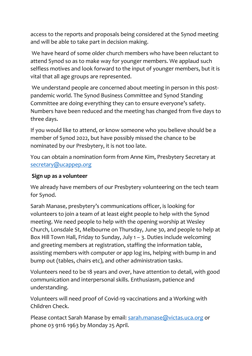access to the reports and proposals being considered at the Synod meeting and will be able to take part in decision making.

We have heard of some older church members who have been reluctant to attend Synod so as to make way for younger members. We applaud such selfless motives and look forward to the input of younger members, but it is vital that all age groups are represented.

We understand people are concerned about meeting in person in this postpandemic world. The Synod Business Committee and Synod Standing Committee are doing everything they can to ensure everyone's safety. Numbers have been reduced and the meeting has changed from five days to three days.

If you would like to attend, or know someone who you believe should be a member of Synod 2022, but have possibly missed the chance to be nominated by our Presbytery, it is not too late.

You can obtain a nomination form from Anne Kim, Presbytery Secretary at [secretary@ucappep.org](mailto:secretary@ucappep.org)

#### **Sign up as a volunteer**

We already have members of our Presbytery volunteering on the tech team for Synod.

Sarah Manase, presbytery's communications officer, is looking for volunteers to join a team of at least eight people to help with the Synod meeting. We need people to help with the opening worship at Wesley Church, Lonsdale St, Melbourne on Thursday, June 30, and people to help at Box Hill Town Hall, Friday to Sunday, July 1 – 3. Duties include welcoming and greeting members at registration, staffing the information table, assisting members with computer or app log ins, helping with bump in and bump out (tables, chairs etc), and other administration tasks.

Volunteers need to be 18 years and over, have attention to detail, with good communication and interpersonal skills. Enthusiasm, patience and understanding.

Volunteers will need proof of Covid-19 vaccinations and a Working with Children Check.

Please contact Sarah Manase by email: [sarah.manase@victas.uca.org](mailto:sarah.manase@victas.uca.org) or phone 03 9116 1963 by Monday 25 April.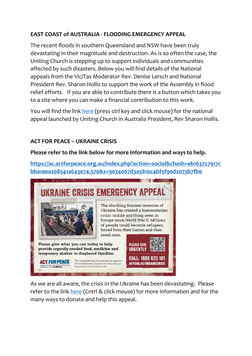#### **EAST COAST of AUSTRALIA - FLOODING EMERGENCY APPEAL**

The recent floods in southern Queensland and NSW have been truly devastating in their magnitude and destruction. As is so often the case, the Uniting Church is stepping up to support individuals and communities affected by such disasters. Below you will find details of the National appeals from the Vic/Tas Moderator Rev. Denise Lersch and National President Rev. Sharon Hollis to support the work of the Assembly in flood relief efforts. If you are able to contribute there is a button which takes you to a site where you can make a financial contribution to this work.

You will find the link [here](https://uniting.church/east-coast-flooding-emergency-appeal/) (press ctrl key and click mouse) for the national appeal launched by Uniting Church in Australia President, Rev Sharon Hollis.

#### **ACT FOR PEACE – UKRAINE CRISIS**

#### **Please refer to the link below for more information and ways to help.**

**[https://ac.actforpeace.org.au/index.php?action=social&chash=eb163727917c](https://ac.actforpeace.org.au/index.php?action=social&chash=eb163727917cbba1eea208541a643e74.570&s=9034067d3a5810c4bf5f90d2073b7fb0) [bba1eea208541a643e74.570&s=9034067d3a5810c4bf5f90d2073b7fb0](https://ac.actforpeace.org.au/index.php?action=social&chash=eb163727917cbba1eea208541a643e74.570&s=9034067d3a5810c4bf5f90d2073b7fb0)**



As we are all aware, the crisis in the Ukraine has been devastating. Please refer to the link [here](https://actforpeace.org.au/take-action/churches/helpukraine-church/?utm_campaign=EM22-MAR-UKR-eDM1-CH&utm_medium=Email&utm_source=ac) (Cntrl & click mouse) for more information and for the many ways to donate and help this appeal.